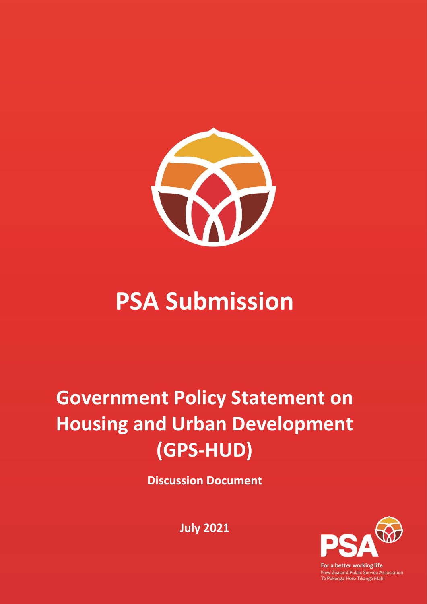

# **PSA Submission**

# **Government Policy Statement on Housing and Urban Development (GPS-HUD)**

**Discussion Document**

For a better working life New Zealand Public Service Association<br>Te Pükenga Here Tikanga Mahi

**July 2021**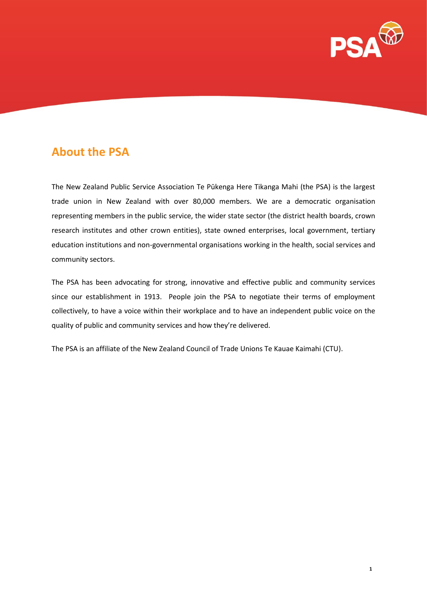

# **About the PSA**

The New Zealand Public Service Association Te Pūkenga Here Tikanga Mahi (the PSA) is the largest trade union in New Zealand with over 80,000 members. We are a democratic organisation representing members in the public service, the wider state sector (the district health boards, crown research institutes and other crown entities), state owned enterprises, local government, tertiary education institutions and non-governmental organisations working in the health, social services and community sectors.

The PSA has been advocating for strong, innovative and effective public and community services since our establishment in 1913. People join the PSA to negotiate their terms of employment collectively, to have a voice within their workplace and to have an independent public voice on the quality of public and community services and how they're delivered.

The PSA is an affiliate of the New Zealand Council of Trade Unions Te Kauae Kaimahi (CTU).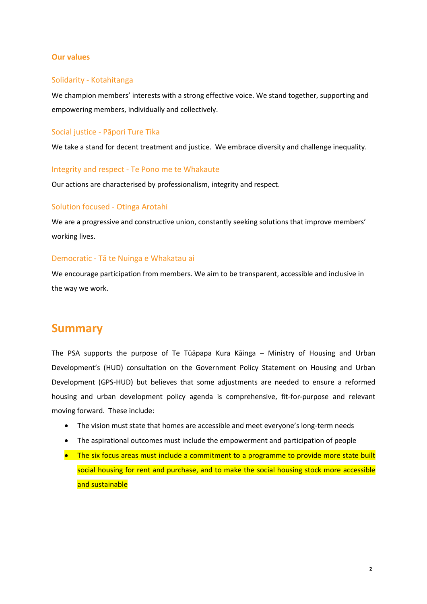#### **Our values**

#### Solidarity - Kotahitanga

We champion members' interests with a strong effective voice. We stand together, supporting and empowering members, individually and collectively.

#### Social justice - Pāpori Ture Tika

We take a stand for decent treatment and justice. We embrace diversity and challenge inequality.

#### Integrity and respect - Te Pono me te Whakaute

Our actions are characterised by professionalism, integrity and respect.

#### Solution focused - Otinga Arotahi

We are a progressive and constructive union, constantly seeking solutions that improve members' working lives.

#### Democratic - Tā te Nuinga e Whakatau ai

We encourage participation from members. We aim to be transparent, accessible and inclusive in the way we work.

## **Summary**

The PSA supports the purpose of Te Tūāpapa Kura Kāinga – Ministry of Housing and Urban Development's (HUD) consultation on the Government Policy Statement on Housing and Urban Development (GPS-HUD) but believes that some adjustments are needed to ensure a reformed housing and urban development policy agenda is comprehensive, fit-for-purpose and relevant moving forward. These include:

- The vision must state that homes are accessible and meet everyone's long-term needs
- The aspirational outcomes must include the empowerment and participation of people
- The six focus areas must include a commitment to a programme to provide more state built social housing for rent and purchase, and to make the social housing stock more accessible and sustainable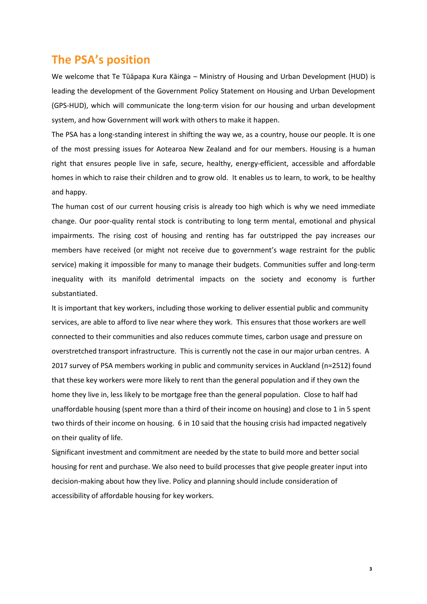## **The PSA's position**

We welcome that Te Tūāpapa Kura Kāinga – Ministry of Housing and Urban Development (HUD) is leading the development of the Government Policy Statement on Housing and Urban Development (GPS-HUD), which will communicate the long-term vision for our housing and urban development system, and how Government will work with others to make it happen.

The PSA has a long-standing interest in shifting the way we, as a country, house our people. It is one of the most pressing issues for Aotearoa New Zealand and for our members. Housing is a human right that ensures people live in safe, secure, healthy, energy-efficient, accessible and affordable homes in which to raise their children and to grow old. It enables us to learn, to work, to be healthy and happy.

The human cost of our current housing crisis is already too high which is why we need immediate change. Our poor-quality rental stock is contributing to long term mental, emotional and physical impairments. The rising cost of housing and renting has far outstripped the pay increases our members have received (or might not receive due to government's wage restraint for the public service) making it impossible for many to manage their budgets. Communities suffer and long-term inequality with its manifold detrimental impacts on the society and economy is further substantiated.

It is important that key workers, including those working to deliver essential public and community services, are able to afford to live near where they work. This ensures that those workers are well connected to their communities and also reduces commute times, carbon usage and pressure on overstretched transport infrastructure. This is currently not the case in our major urban centres. A 2017 survey of PSA members working in public and community services in Auckland (n=2512) found that these key workers were more likely to rent than the general population and if they own the home they live in, less likely to be mortgage free than the general population. Close to half had unaffordable housing (spent more than a third of their income on housing) and close to 1 in 5 spent two thirds of their income on housing. 6 in 10 said that the housing crisis had impacted negatively on their quality of life.

Significant investment and commitment are needed by the state to build more and better social housing for rent and purchase. We also need to build processes that give people greater input into decision-making about how they live. Policy and planning should include consideration of accessibility of affordable housing for key workers.

 **3**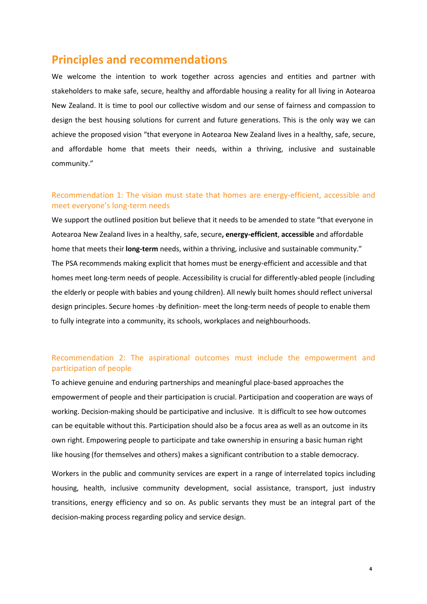## **Principles and recommendations**

We welcome the intention to work together across agencies and entities and partner with stakeholders to make safe, secure, healthy and affordable housing a reality for all living in Aotearoa New Zealand. It is time to pool our collective wisdom and our sense of fairness and compassion to design the best housing solutions for current and future generations. This is the only way we can achieve the proposed vision "that everyone in Aotearoa New Zealand lives in a healthy, safe, secure, and affordable home that meets their needs, within a thriving, inclusive and sustainable community."

### Recommendation 1: The vision must state that homes are energy-efficient, accessible and meet everyone's long-term needs

We support the outlined position but believe that it needs to be amended to state "that everyone in Aotearoa New Zealand lives in a healthy, safe, secure**, energy-efficient**, **accessible** and affordable home that meets their **long-term** needs, within a thriving, inclusive and sustainable community." The PSA recommends making explicit that homes must be energy-efficient and accessible and that homes meet long-term needs of people. Accessibility is crucial for differently-abled people (including the elderly or people with babies and young children). All newly built homes should reflect universal design principles. Secure homes -by definition- meet the long-term needs of people to enable them to fully integrate into a community, its schools, workplaces and neighbourhoods.

## Recommendation 2: The aspirational outcomes must include the empowerment and participation of people

To achieve genuine and enduring partnerships and meaningful place-based approaches the empowerment of people and their participation is crucial. Participation and cooperation are ways of working. Decision-making should be participative and inclusive. It is difficult to see how outcomes can be equitable without this. Participation should also be a focus area as well as an outcome in its own right. Empowering people to participate and take ownership in ensuring a basic human right like housing (for themselves and others) makes a significant contribution to a stable democracy.

Workers in the public and community services are expert in a range of interrelated topics including housing, health, inclusive community development, social assistance, transport, just industry transitions, energy efficiency and so on. As public servants they must be an integral part of the decision-making process regarding policy and service design.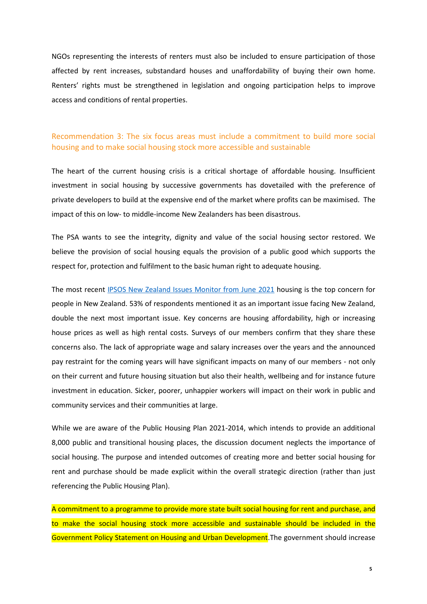NGOs representing the interests of renters must also be included to ensure participation of those affected by rent increases, substandard houses and unaffordability of buying their own home. Renters' rights must be strengthened in legislation and ongoing participation helps to improve access and conditions of rental properties.

### Recommendation 3: The six focus areas must include a commitment to build more social housing and to make social housing stock more accessible and sustainable

The heart of the current housing crisis is a critical shortage of affordable housing. Insufficient investment in social housing by successive governments has dovetailed with the preference of private developers to build at the expensive end of the market where profits can be maximised. The impact of this on low- to middle-income New Zealanders has been disastrous.

The PSA wants to see the integrity, dignity and value of the social housing sector restored. We believe the provision of social housing equals the provision of a public good which supports the respect for, protection and fulfilment to the basic human right to adequate housing.

The most recent [IPSOS New Zealand Issues Monitor from June 2021](https://www.ipsos.com/en-nz/14th-ipsos-nz-issues-monitor-june-2021) housing is the top concern for people in New Zealand. 53% of respondents mentioned it as an important issue facing New Zealand, double the next most important issue. Key concerns are housing affordability, high or increasing house prices as well as high rental costs. Surveys of our members confirm that they share these concerns also. The lack of appropriate wage and salary increases over the years and the announced pay restraint for the coming years will have significant impacts on many of our members - not only on their current and future housing situation but also their health, wellbeing and for instance future investment in education. Sicker, poorer, unhappier workers will impact on their work in public and community services and their communities at large.

While we are aware of the Public Housing Plan 2021-2014, which intends to provide an additional 8,000 public and transitional housing places, the discussion document neglects the importance of social housing. The purpose and intended outcomes of creating more and better social housing for rent and purchase should be made explicit within the overall strategic direction (rather than just referencing the Public Housing Plan).

A commitment to a programme to provide more state built social housing for rent and purchase, and to make the social housing stock more accessible and sustainable should be included in the Government Policy Statement on Housing and Urban Development.The government should increase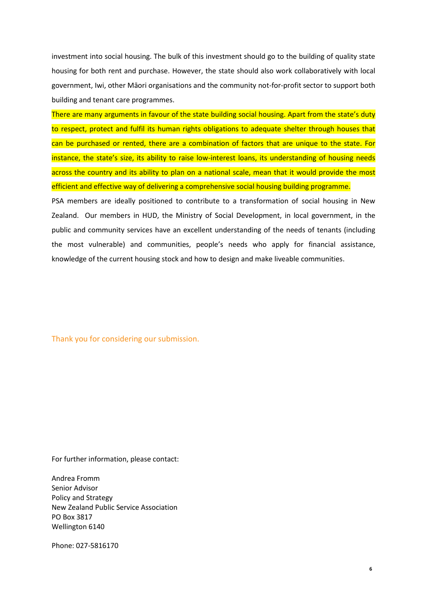investment into social housing. The bulk of this investment should go to the building of quality state housing for both rent and purchase. However, the state should also work collaboratively with local government, Iwi, other Māori organisations and the community not-for-profit sector to support both building and tenant care programmes.

There are many arguments in favour of the state building social housing. Apart from the state's duty to respect, protect and fulfil its human rights obligations to adequate shelter through houses that can be purchased or rented, there are a combination of factors that are unique to the state. For instance, the state's size, its ability to raise low-interest loans, its understanding of housing needs across the country and its ability to plan on a national scale, mean that it would provide the most efficient and effective way of delivering a comprehensive social housing building programme.

PSA members are ideally positioned to contribute to a transformation of social housing in New Zealand. Our members in HUD, the Ministry of Social Development, in local government, in the public and community services have an excellent understanding of the needs of tenants (including the most vulnerable) and communities, people's needs who apply for financial assistance, knowledge of the current housing stock and how to design and make liveable communities.

Thank you for considering our submission.

For further information, please contact:

Andrea Fromm Senior Advisor Policy and Strategy New Zealand Public Service Association PO Box 3817 Wellington 6140

Phone: 027-5816170